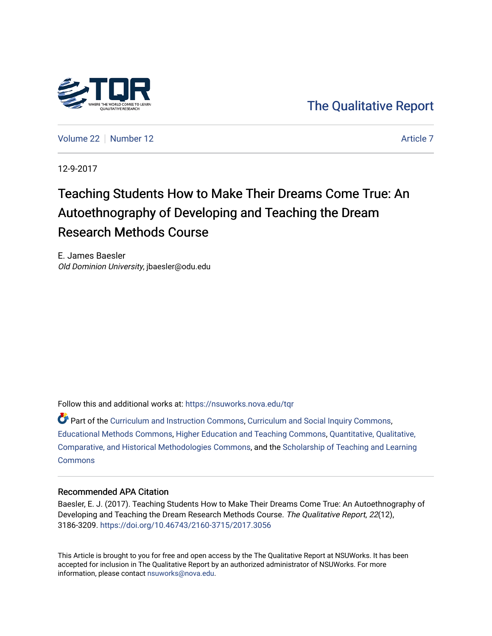

[The Qualitative Report](https://nsuworks.nova.edu/tqr) 

[Volume 22](https://nsuworks.nova.edu/tqr/vol22) [Number 12](https://nsuworks.nova.edu/tqr/vol22/iss12) [Article 7](https://nsuworks.nova.edu/tqr/vol22/iss12/7) Article 7

12-9-2017

## Teaching Students How to Make Their Dreams Come True: An Autoethnography of Developing and Teaching the Dream Research Methods Course

E. James Baesler Old Dominion University, jbaesler@odu.edu

Follow this and additional works at: [https://nsuworks.nova.edu/tqr](https://nsuworks.nova.edu/tqr?utm_source=nsuworks.nova.edu%2Ftqr%2Fvol22%2Fiss12%2F7&utm_medium=PDF&utm_campaign=PDFCoverPages) 

Part of the [Curriculum and Instruction Commons,](http://network.bepress.com/hgg/discipline/786?utm_source=nsuworks.nova.edu%2Ftqr%2Fvol22%2Fiss12%2F7&utm_medium=PDF&utm_campaign=PDFCoverPages) [Curriculum and Social Inquiry Commons,](http://network.bepress.com/hgg/discipline/1038?utm_source=nsuworks.nova.edu%2Ftqr%2Fvol22%2Fiss12%2F7&utm_medium=PDF&utm_campaign=PDFCoverPages) [Educational Methods Commons,](http://network.bepress.com/hgg/discipline/1227?utm_source=nsuworks.nova.edu%2Ftqr%2Fvol22%2Fiss12%2F7&utm_medium=PDF&utm_campaign=PDFCoverPages) [Higher Education and Teaching Commons,](http://network.bepress.com/hgg/discipline/806?utm_source=nsuworks.nova.edu%2Ftqr%2Fvol22%2Fiss12%2F7&utm_medium=PDF&utm_campaign=PDFCoverPages) [Quantitative, Qualitative,](http://network.bepress.com/hgg/discipline/423?utm_source=nsuworks.nova.edu%2Ftqr%2Fvol22%2Fiss12%2F7&utm_medium=PDF&utm_campaign=PDFCoverPages) [Comparative, and Historical Methodologies Commons,](http://network.bepress.com/hgg/discipline/423?utm_source=nsuworks.nova.edu%2Ftqr%2Fvol22%2Fiss12%2F7&utm_medium=PDF&utm_campaign=PDFCoverPages) and the [Scholarship of Teaching and Learning](http://network.bepress.com/hgg/discipline/1328?utm_source=nsuworks.nova.edu%2Ftqr%2Fvol22%2Fiss12%2F7&utm_medium=PDF&utm_campaign=PDFCoverPages)  **[Commons](http://network.bepress.com/hgg/discipline/1328?utm_source=nsuworks.nova.edu%2Ftqr%2Fvol22%2Fiss12%2F7&utm_medium=PDF&utm_campaign=PDFCoverPages)** 

#### Recommended APA Citation

Baesler, E. J. (2017). Teaching Students How to Make Their Dreams Come True: An Autoethnography of Developing and Teaching the Dream Research Methods Course. The Qualitative Report, 22(12), 3186-3209. <https://doi.org/10.46743/2160-3715/2017.3056>

This Article is brought to you for free and open access by the The Qualitative Report at NSUWorks. It has been accepted for inclusion in The Qualitative Report by an authorized administrator of NSUWorks. For more information, please contact [nsuworks@nova.edu.](mailto:nsuworks@nova.edu)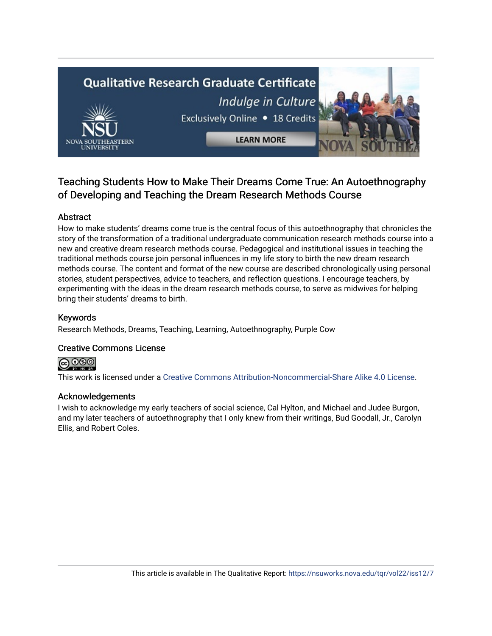# **Qualitative Research Graduate Certificate** Indulge in Culture Exclusively Online . 18 Credits **LEARN MORE**

## Teaching Students How to Make Their Dreams Come True: An Autoethnography of Developing and Teaching the Dream Research Methods Course

#### Abstract

How to make students' dreams come true is the central focus of this autoethnography that chronicles the story of the transformation of a traditional undergraduate communication research methods course into a new and creative dream research methods course. Pedagogical and institutional issues in teaching the traditional methods course join personal influences in my life story to birth the new dream research methods course. The content and format of the new course are described chronologically using personal stories, student perspectives, advice to teachers, and reflection questions. I encourage teachers, by experimenting with the ideas in the dream research methods course, to serve as midwives for helping bring their students' dreams to birth.

#### Keywords

Research Methods, Dreams, Teaching, Learning, Autoethnography, Purple Cow

#### Creative Commons License



This work is licensed under a [Creative Commons Attribution-Noncommercial-Share Alike 4.0 License](https://creativecommons.org/licenses/by-nc-sa/4.0/).

#### Acknowledgements

I wish to acknowledge my early teachers of social science, Cal Hylton, and Michael and Judee Burgon, and my later teachers of autoethnography that I only knew from their writings, Bud Goodall, Jr., Carolyn Ellis, and Robert Coles.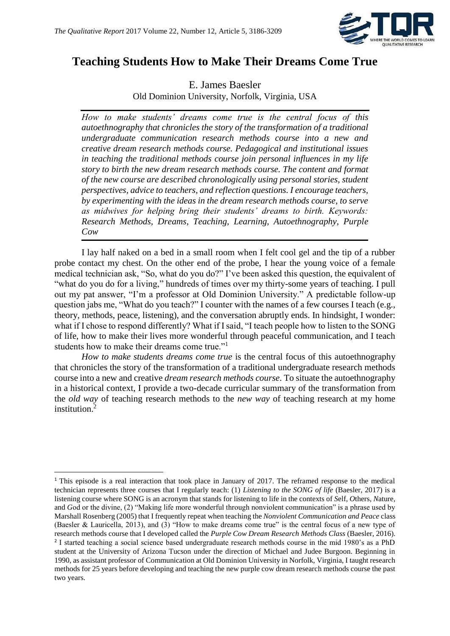

## **Teaching Students How to Make Their Dreams Come True**

E. James Baesler Old Dominion University, Norfolk, Virginia, USA

*How to make students' dreams come true is the central focus of this autoethnography that chronicles the story of the transformation of a traditional undergraduate communication research methods course into a new and creative dream research methods course. Pedagogical and institutional issues in teaching the traditional methods course join personal influences in my life story to birth the new dream research methods course. The content and format of the new course are described chronologically using personal stories, student perspectives, advice to teachers, and reflection questions. I encourage teachers, by experimenting with the ideas in the dream research methods course, to serve as midwives for helping bring their students' dreams to birth. Keywords: Research Methods, Dreams, Teaching, Learning, Autoethnography, Purple Cow*

I lay half naked on a bed in a small room when I felt cool gel and the tip of a rubber probe contact my chest. On the other end of the probe, I hear the young voice of a female medical technician ask, "So, what do you do?" I've been asked this question, the equivalent of "what do you do for a living," hundreds of times over my thirty-some years of teaching. I pull out my pat answer, "I'm a professor at Old Dominion University." A predictable follow-up question jabs me, "What do you teach?" I counter with the names of a few courses I teach (e.g., theory, methods, peace, listening), and the conversation abruptly ends. In hindsight, I wonder: what if I chose to respond differently? What if I said, "I teach people how to listen to the SONG of life, how to make their lives more wonderful through peaceful communication, and I teach students how to make their dreams come true."<sup>1</sup>

*How to make students dreams come true* is the central focus of this autoethnography that chronicles the story of the transformation of a traditional undergraduate research methods course into a new and creative *dream research methods course*. To situate the autoethnography in a historical context, I provide a two-decade curricular summary of the transformation from the *old way* of teaching research methods to the *new way* of teaching research at my home institution.<sup>2</sup>

**.** 

<sup>&</sup>lt;sup>1</sup> This episode is a real interaction that took place in January of 2017. The reframed response to the medical technician represents three courses that I regularly teach: (1) *Listening to the SONG of life* (Baesler, 2017) is a listening course where SONG is an acronym that stands for listening to life in the contexts of *S*elf, *O*thers, *N*ature, and *G*od or the divine, (2) "Making life more wonderful through nonviolent communication" is a phrase used by Marshall Rosenberg (2005) that I frequently repeat when teaching the *Nonviolent Communication and Peace* class (Baesler & Lauricella, 2013), and (3) "How to make dreams come true" is the central focus of a new type of research methods course that I developed called the *Purple Cow Dream Research Methods Class* (Baesler, 2016). <sup>2</sup> I started teaching a social science based undergraduate research methods course in the mid 1980's as a PhD student at the University of Arizona Tucson under the direction of Michael and Judee Burgoon. Beginning in 1990, as assistant professor of Communication at Old Dominion University in Norfolk, Virginia, I taught research methods for 25 years before developing and teaching the new purple cow dream research methods course the past two years.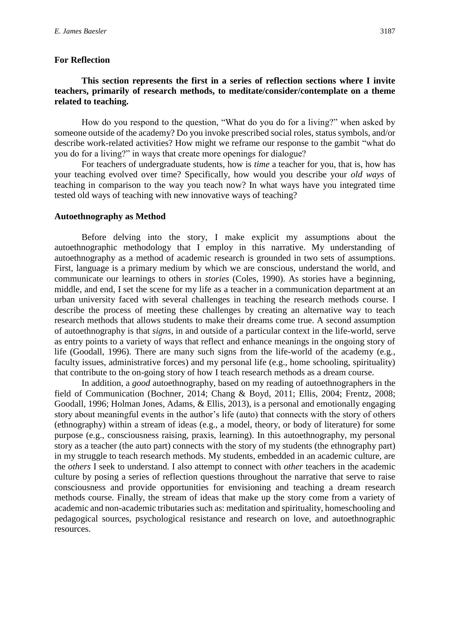#### **For Reflection**

#### **This section represents the first in a series of reflection sections where I invite teachers, primarily of research methods, to meditate/consider/contemplate on a theme related to teaching.**

How do you respond to the question, "What do you do for a living?" when asked by someone outside of the academy? Do you invoke prescribed social roles, status symbols, and/or describe work-related activities? How might we reframe our response to the gambit "what do you do for a living?" in ways that create more openings for dialogue?

For teachers of undergraduate students, how is *time* a teacher for you, that is, how has your teaching evolved over time? Specifically, how would you describe your *old ways* of teaching in comparison to the way you teach now? In what ways have you integrated time tested old ways of teaching with new innovative ways of teaching?

#### **Autoethnography as Method**

Before delving into the story, I make explicit my assumptions about the autoethnographic methodology that I employ in this narrative. My understanding of autoethnography as a method of academic research is grounded in two sets of assumptions. First, language is a primary medium by which we are conscious, understand the world, and communicate our learnings to others in *stories* (Coles, 1990). As stories have a beginning, middle, and end, I set the scene for my life as a teacher in a communication department at an urban university faced with several challenges in teaching the research methods course. I describe the process of meeting these challenges by creating an alternative way to teach research methods that allows students to make their dreams come true. A second assumption of autoethnography is that *signs,* in and outside of a particular context in the life-world, serve as entry points to a variety of ways that reflect and enhance meanings in the ongoing story of life (Goodall, 1996). There are many such signs from the life-world of the academy (e.g., faculty issues, administrative forces) and my personal life (e.g., home schooling, spirituality) that contribute to the on-going story of how I teach research methods as a dream course.

In addition, a *good* autoethnography, based on my reading of autoethnographers in the field of Communication (Bochner, 2014; Chang & Boyd, 2011; Ellis, 2004; Frentz, 2008; Goodall, 1996; Holman Jones, Adams, & Ellis, 2013), is a personal and emotionally engaging story about meaningful events in the author's life (auto) that connects with the story of others (ethnography) within a stream of ideas (e.g., a model, theory, or body of literature) for some purpose (e.g., consciousness raising, praxis, learning). In this autoethnography, my personal story as a teacher (the auto part) connects with the story of my students (the ethnography part) in my struggle to teach research methods. My students, embedded in an academic culture, are the *others* I seek to understand. I also attempt to connect with *other* teachers in the academic culture by posing a series of reflection questions throughout the narrative that serve to raise consciousness and provide opportunities for envisioning and teaching a dream research methods course. Finally, the stream of ideas that make up the story come from a variety of academic and non-academic tributaries such as: meditation and spirituality, homeschooling and pedagogical sources, psychological resistance and research on love, and autoethnographic resources.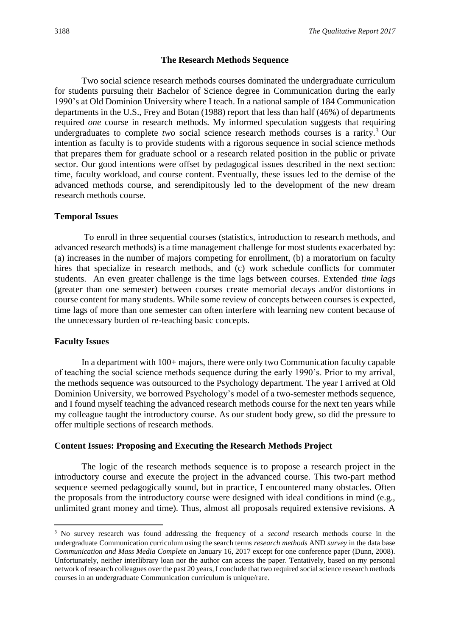#### **The Research Methods Sequence**

Two social science research methods courses dominated the undergraduate curriculum for students pursuing their Bachelor of Science degree in Communication during the early 1990's at Old Dominion University where I teach. In a national sample of 184 Communication departments in the U.S., Frey and Botan (1988) report that less than half (46%) of departments required *one* course in research methods. My informed speculation suggests that requiring undergraduates to complete *two* social science research methods courses is a rarity.<sup>3</sup> Our intention as faculty is to provide students with a rigorous sequence in social science methods that prepares them for graduate school or a research related position in the public or private sector. Our good intentions were offset by pedagogical issues described in the next section: time, faculty workload, and course content. Eventually, these issues led to the demise of the advanced methods course, and serendipitously led to the development of the new dream research methods course.

#### **Temporal Issues**

To enroll in three sequential courses (statistics, introduction to research methods, and advanced research methods) is a time management challenge for most students exacerbated by: (a) increases in the number of majors competing for enrollment, (b) a moratorium on faculty hires that specialize in research methods, and (c) work schedule conflicts for commuter students. An even greater challenge is the time lags between courses. Extended *time lags* (greater than one semester) between courses create memorial decays and/or distortions in course content for many students. While some review of concepts between courses is expected, time lags of more than one semester can often interfere with learning new content because of the unnecessary burden of re-teaching basic concepts.

#### **Faculty Issues**

**.** 

In a department with 100+ majors, there were only two Communication faculty capable of teaching the social science methods sequence during the early 1990's. Prior to my arrival, the methods sequence was outsourced to the Psychology department. The year I arrived at Old Dominion University, we borrowed Psychology's model of a two-semester methods sequence, and I found myself teaching the advanced research methods course for the next ten years while my colleague taught the introductory course. As our student body grew, so did the pressure to offer multiple sections of research methods.

#### **Content Issues: Proposing and Executing the Research Methods Project**

The logic of the research methods sequence is to propose a research project in the introductory course and execute the project in the advanced course. This two-part method sequence seemed pedagogically sound, but in practice, I encountered many obstacles. Often the proposals from the introductory course were designed with ideal conditions in mind (e.g., unlimited grant money and time). Thus, almost all proposals required extensive revisions. A

<sup>3</sup> No survey research was found addressing the frequency of a *second* research methods course in the undergraduate Communication curriculum using the search terms *research methods* AND *survey* in the data base *Communication and Mass Media Complete* on January 16, 2017 except for one conference paper (Dunn, 2008). Unfortunately, neither interlibrary loan nor the author can access the paper. Tentatively, based on my personal network of research colleagues over the past 20 years, I conclude that two required social science research methods courses in an undergraduate Communication curriculum is unique/rare.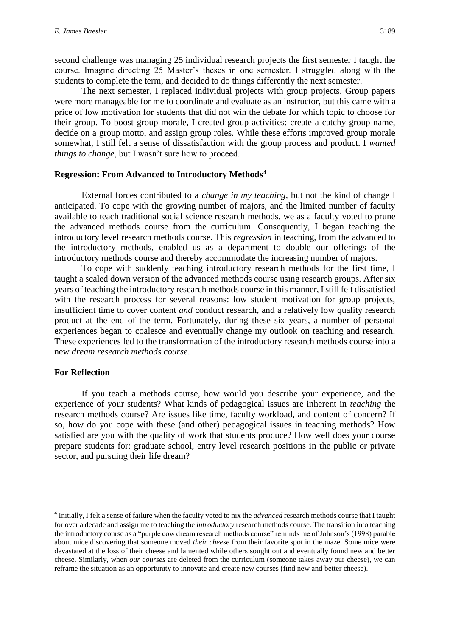second challenge was managing 25 individual research projects the first semester I taught the course. Imagine directing 25 Master's theses in one semester. I struggled along with the students to complete the term, and decided to do things differently the next semester.

The next semester, I replaced individual projects with group projects. Group papers were more manageable for me to coordinate and evaluate as an instructor, but this came with a price of low motivation for students that did not win the debate for which topic to choose for their group. To boost group morale, I created group activities: create a catchy group name, decide on a group motto, and assign group roles. While these efforts improved group morale somewhat, I still felt a sense of dissatisfaction with the group process and product. I *wanted things to change*, but I wasn't sure how to proceed.

#### **Regression: From Advanced to Introductory Methods<sup>4</sup>**

External forces contributed to a *change in my teaching*, but not the kind of change I anticipated. To cope with the growing number of majors, and the limited number of faculty available to teach traditional social science research methods, we as a faculty voted to prune the advanced methods course from the curriculum. Consequently, I began teaching the introductory level research methods course. This *regression* in teaching, from the advanced to the introductory methods, enabled us as a department to double our offerings of the introductory methods course and thereby accommodate the increasing number of majors.

To cope with suddenly teaching introductory research methods for the first time, I taught a scaled down version of the advanced methods course using research groups. After six years of teaching the introductory research methods course in this manner, I still felt dissatisfied with the research process for several reasons: low student motivation for group projects, insufficient time to cover content *and* conduct research, and a relatively low quality research product at the end of the term. Fortunately, during these six years, a number of personal experiences began to coalesce and eventually change my outlook on teaching and research. These experiences led to the transformation of the introductory research methods course into a new *dream research methods course*.

#### **For Reflection**

1

If you teach a methods course, how would you describe your experience, and the experience of your students? What kinds of pedagogical issues are inherent in *teaching* the research methods course? Are issues like time, faculty workload, and content of concern? If so, how do you cope with these (and other) pedagogical issues in teaching methods? How satisfied are you with the quality of work that students produce? How well does your course prepare students for: graduate school, entry level research positions in the public or private sector, and pursuing their life dream?

<sup>4</sup> Initially, I felt a sense of failure when the faculty voted to nix the *advanced* research methods course that I taught for over a decade and assign me to teaching the *introductory* research methods course. The transition into teaching the introductory course as a "purple cow dream research methods course" reminds me of Johnson's (1998) parable about mice discovering that someone moved *their cheese* from their favorite spot in the maze. Some mice were devastated at the loss of their cheese and lamented while others sought out and eventually found new and better cheese. Similarly, when *our courses* are deleted from the curriculum (someone takes away our cheese), we can reframe the situation as an opportunity to innovate and create new courses (find new and better cheese).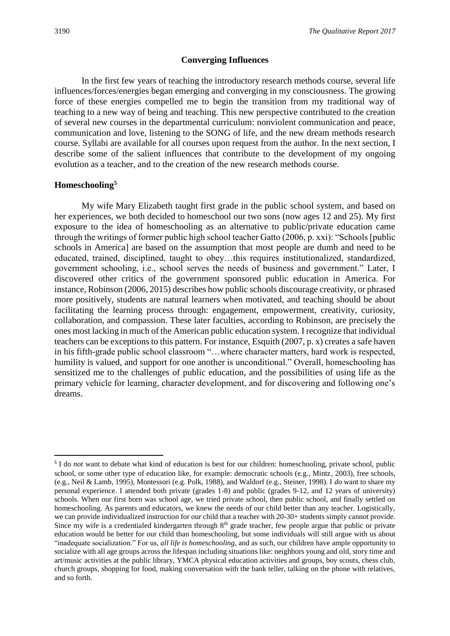#### **Converging Influences**

In the first few years of teaching the introductory research methods course, several life influences/forces/energies began emerging and converging in my consciousness. The growing force of these energies compelled me to begin the transition from my traditional way of teaching to a new way of being and teaching. This new perspective contributed to the creation of several new courses in the departmental curriculum: nonviolent communication and peace, communication and love, listening to the SONG of life, and the new dream methods research course. Syllabi are available for all courses upon request from the author. In the next section, I describe some of the salient influences that contribute to the development of my ongoing evolution as a teacher, and to the creation of the new research methods course.

#### **Homeschooling<sup>5</sup>**

My wife Mary Elizabeth taught first grade in the public school system, and based on her experiences, we both decided to homeschool our two sons (now ages 12 and 25). My first exposure to the idea of homeschooling as an alternative to public/private education came through the writings of former public high school teacher Gatto (2006, p. xxi): "Schools [public schools in America] are based on the assumption that most people are dumb and need to be educated, trained, disciplined, taught to obey…this requires institutionalized, standardized, government schooling, i.e., school serves the needs of business and government." Later, I discovered other critics of the government sponsored public education in America. For instance, Robinson (2006, 2015) describes how public schools discourage creativity, or phrased more positively, students are natural learners when motivated, and teaching should be about facilitating the learning process through: engagement, empowerment, creativity, curiosity, collaboration, and compassion. These later faculties, according to Robinson, are precisely the ones most lacking in much of the American public education system. I recognize that individual teachers can be exceptions to this pattern. For instance, Esquith (2007, p. x) creates a safe haven in his fifth-grade public school classroom "…where character matters, hard work is respected, humility is valued, and support for one another is unconditional." Overall, homeschooling has sensitized me to the challenges of public education, and the possibilities of using life as the primary vehicle for learning, character development, and for discovering and following one's dreams.

<sup>1</sup> <sup>5</sup> I do *not* want to debate what kind of education is best for our children: homeschooling, private school, public school, or some other type of education like, for example: democratic schools (e.g., Mintz, 2003), free schools, (e.g., Neil & Lamb, 1995), Montessori (e.g. Polk, 1988), and Waldorf (e.g., Steiner, 1998). I *do* want to share my personal experience. I attended both private (grades 1-8) and public (grades 9-12, and 12 years of university) schools. When our first born was school age, we tried private school, then public school, and finally settled on homeschooling. As parents and educators, we knew the needs of our child better than any teacher. Logistically, we can provide individualized instruction for our child that a teacher with 20-30+ students simply cannot provide. Since my wife is a credentialed kindergarten through  $8<sup>th</sup>$  grade teacher, few people argue that public or private education would be better for our child than homeschooling, but some individuals will still argue with us about "inadequate socialization." For us, *all life is homeschooling*, and as such, our children have ample opportunity to socialize with all age groups across the lifespan including situations like: neighbors young and old, story time and art/music activities at the public library, YMCA physical education activities and groups, boy scouts, chess club, church groups, shopping for food, making conversation with the bank teller, talking on the phone with relatives, and so forth.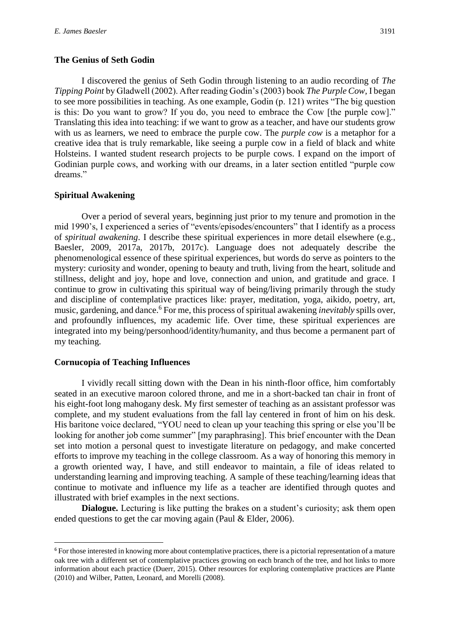#### **The Genius of Seth Godin**

I discovered the genius of Seth Godin through listening to an audio recording of *The Tipping Point* by Gladwell (2002). After reading Godin's (2003) book *The Purple Cow,* I began to see more possibilities in teaching. As one example, Godin (p. 121) writes "The big question is this: Do you want to grow? If you do, you need to embrace the Cow [the purple cow]." Translating this idea into teaching: if we want to grow as a teacher, and have our students grow with us as learners, we need to embrace the purple cow. The *purple cow* is a metaphor for a creative idea that is truly remarkable, like seeing a purple cow in a field of black and white Holsteins. I wanted student research projects to be purple cows. I expand on the import of Godinian purple cows, and working with our dreams, in a later section entitled "purple cow dreams."

#### **Spiritual Awakening**

Over a period of several years, beginning just prior to my tenure and promotion in the mid 1990's, I experienced a series of "events/episodes/encounters" that I identify as a process of *spiritual awakening*. I describe these spiritual experiences in more detail elsewhere (e.g., Baesler, 2009, 2017a, 2017b, 2017c). Language does not adequately describe the phenomenological essence of these spiritual experiences, but words do serve as pointers to the mystery: curiosity and wonder, opening to beauty and truth, living from the heart, solitude and stillness, delight and joy, hope and love, connection and union, and gratitude and grace. I continue to grow in cultivating this spiritual way of being/living primarily through the study and discipline of contemplative practices like: prayer, meditation, yoga, aikido, poetry, art, music, gardening, and dance.<sup>6</sup> For me, this process of spiritual awakening *inevitably* spills over, and profoundly influences, my academic life. Over time, these spiritual experiences are integrated into my being/personhood/identity/humanity, and thus become a permanent part of my teaching.

#### **Cornucopia of Teaching Influences**

1

I vividly recall sitting down with the Dean in his ninth-floor office, him comfortably seated in an executive maroon colored throne, and me in a short-backed tan chair in front of his eight-foot long mahogany desk. My first semester of teaching as an assistant professor was complete, and my student evaluations from the fall lay centered in front of him on his desk. His baritone voice declared, "YOU need to clean up your teaching this spring or else you'll be looking for another job come summer" [my paraphrasing]. This brief encounter with the Dean set into motion a personal quest to investigate literature on pedagogy, and make concerted efforts to improve my teaching in the college classroom. As a way of honoring this memory in a growth oriented way, I have, and still endeavor to maintain, a file of ideas related to understanding learning and improving teaching. A sample of these teaching/learning ideas that continue to motivate and influence my life as a teacher are identified through quotes and illustrated with brief examples in the next sections.

**Dialogue.** Lecturing is like putting the brakes on a student's curiosity; ask them open ended questions to get the car moving again (Paul & Elder, 2006).

<sup>&</sup>lt;sup>6</sup> For those interested in knowing more about contemplative practices, there is a pictorial representation of a mature oak tree with a different set of contemplative practices growing on each branch of the tree, and hot links to more information about each practice (Duerr, 2015). Other resources for exploring contemplative practices are Plante (2010) and Wilber, Patten, Leonard, and Morelli (2008).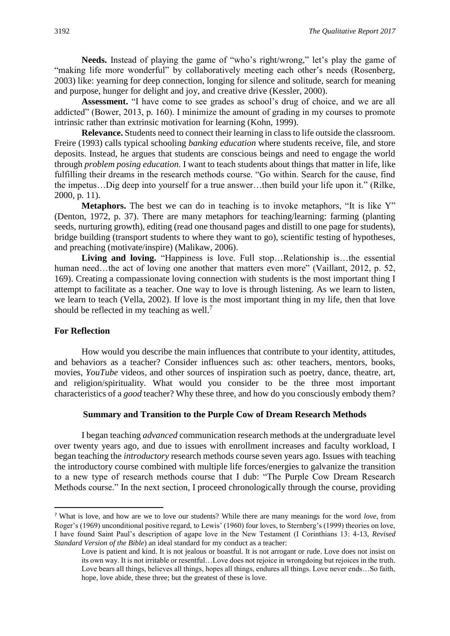**Needs.** Instead of playing the game of "who's right/wrong," let's play the game of "making life more wonderful" by collaboratively meeting each other's needs (Rosenberg, 2003) like: yearning for deep connection, longing for silence and solitude, search for meaning and purpose, hunger for delight and joy, and creative drive (Kessler, 2000).

**Assessment.** "I have come to see grades as school's drug of choice, and we are all addicted" (Bower, 2013, p. 160). I minimize the amount of grading in my courses to promote intrinsic rather than extrinsic motivation for learning (Kohn, 1999).

**Relevance.** Students need to connect their learning in class to life outside the classroom. Freire (1993) calls typical schooling *banking education* where students receive, file, and store deposits. Instead, he argues that students are conscious beings and need to engage the world through *problem posing education*. I want to teach students about things that matter in life, like fulfilling their dreams in the research methods course. "Go within. Search for the cause, find the impetus…Dig deep into yourself for a true answer…then build your life upon it." (Rilke, 2000, p. 11).

**Metaphors.** The best we can do in teaching is to invoke metaphors, "It is like Y" (Denton, 1972, p. 37). There are many metaphors for teaching/learning: farming (planting seeds, nurturing growth), editing (read one thousand pages and distill to one page for students), bridge building (transport students to where they want to go), scientific testing of hypotheses, and preaching (motivate/inspire) (Malikaw, 2006).

Living and loving. "Happiness is love. Full stop...Relationship is...the essential human need...the act of loving one another that matters even more" (Vaillant, 2012, p. 52, 169). Creating a compassionate loving connection with students is the most important thing I attempt to facilitate as a teacher. One way to love is through listening. As we learn to listen, we learn to teach (Vella, 2002). If love is the most important thing in my life, then that love should be reflected in my teaching as well.<sup>7</sup>

#### **For Reflection**

1

How would you describe the main influences that contribute to your identity, attitudes, and behaviors as a teacher? Consider influences such as: other teachers, mentors, books, movies, *YouTube* videos, and other sources of inspiration such as poetry, dance, theatre, art, and religion/spirituality. What would you consider to be the three most important characteristics of a *good* teacher? Why these three, and how do you consciously embody them?

#### **Summary and Transition to the Purple Cow of Dream Research Methods**

I began teaching *advanced* communication research methods at the undergraduate level over twenty years ago, and due to issues with enrollment increases and faculty workload, I began teaching the *introductory* research methods course seven years ago. Issues with teaching the introductory course combined with multiple life forces/energies to galvanize the transition to a new type of research methods course that I dub: "The Purple Cow Dream Research Methods course." In the next section*,* I proceed chronologically through the course, providing

<sup>7</sup> What is love, and how are we to love our students? While there are many meanings for the word *love*, from Roger's (1969) unconditional positive regard, to Lewis' (1960) four loves, to Sternberg's (1999) theories on love, I have found Saint Paul's description of agape love in the New Testament (I Corinthians 13: 4-13, *Revised Standard Version of the Bible*) an ideal standard for my conduct as a teacher:

Love is patient and kind. It is not jealous or boastful. It is not arrogant or rude. Love does not insist on its own way. It is not irritable or resentful…Love does not rejoice in wrongdoing but rejoices in the truth. Love bears all things, believes all things, hopes all things, endures all things. Love never ends…So faith, hope, love abide, these three; but the greatest of these is love.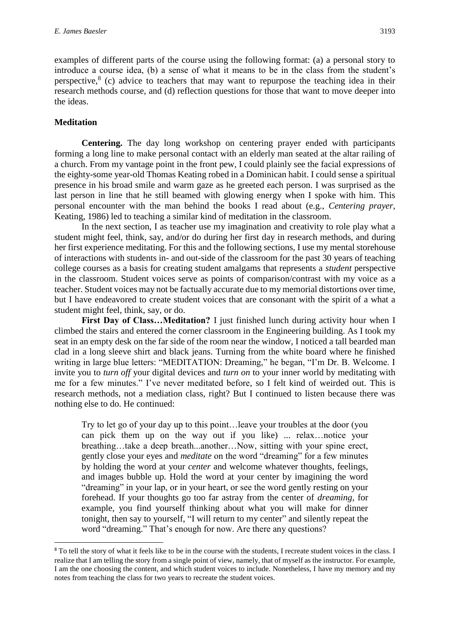examples of different parts of the course using the following format: (a) a personal story to introduce a course idea, (b) a sense of what it means to be in the class from the student's perspective,  $8$  (c) advice to teachers that may want to repurpose the teaching idea in their research methods course, and (d) reflection questions for those that want to move deeper into the ideas.

#### **Meditation**

1

**Centering.** The day long workshop on centering prayer ended with participants forming a long line to make personal contact with an elderly man seated at the altar railing of a church. From my vantage point in the front pew, I could plainly see the facial expressions of the eighty-some year-old Thomas Keating robed in a Dominican habit. I could sense a spiritual presence in his broad smile and warm gaze as he greeted each person. I was surprised as the last person in line that he still beamed with glowing energy when I spoke with him. This personal encounter with the man behind the books I read about (e.g., *Centering prayer,*  Keating, 1986) led to teaching a similar kind of meditation in the classroom.

In the next section, I as teacher use my imagination and creativity to role play what a student might feel, think, say, and/or do during her first day in research methods, and during her first experience meditating. For this and the following sections, I use my mental storehouse of interactions with students in- and out-side of the classroom for the past 30 years of teaching college courses as a basis for creating student amalgams that represents a *student* perspective in the classroom. Student voices serve as points of comparison/contrast with my voice as a teacher. Student voices may not be factually accurate due to my memorial distortions over time, but I have endeavored to create student voices that are consonant with the spirit of a what a student might feel, think, say, or do.

**First Day of Class…Meditation?** I just finished lunch during activity hour when I climbed the stairs and entered the corner classroom in the Engineering building. As I took my seat in an empty desk on the far side of the room near the window, I noticed a tall bearded man clad in a long sleeve shirt and black jeans. Turning from the white board where he finished writing in large blue letters: "MEDITATION: Dreaming," he began, "I'm Dr. B. Welcome. I invite you to *turn off* your digital devices and *turn on* to your inner world by meditating with me for a few minutes." I've never meditated before, so I felt kind of weirded out. This is research methods, not a mediation class, right? But I continued to listen because there was nothing else to do. He continued:

Try to let go of your day up to this point…leave your troubles at the door (you can pick them up on the way out if you like) ... relax…notice your breathing…take a deep breath...another…Now, sitting with your spine erect, gently close your eyes and *meditate* on the word "dreaming" for a few minutes by holding the word at your *center* and welcome whatever thoughts, feelings, and images bubble up. Hold the word at your center by imagining the word "dreaming" in your lap, or in your heart, or see the word gently resting on your forehead. If your thoughts go too far astray from the center of *dreaming*, for example, you find yourself thinking about what you will make for dinner tonight, then say to yourself, "I will return to my center" and silently repeat the word "dreaming." That's enough for now. Are there any questions?

<sup>&</sup>lt;sup>8</sup> To tell the story of what it feels like to be in the course with the students, I recreate student voices in the class. I realize that I am telling the story from a single point of view, namely, that of myself as the instructor. For example, I am the one choosing the content, and which student voices to include. Nonetheless, I have my memory and my notes from teaching the class for two years to recreate the student voices.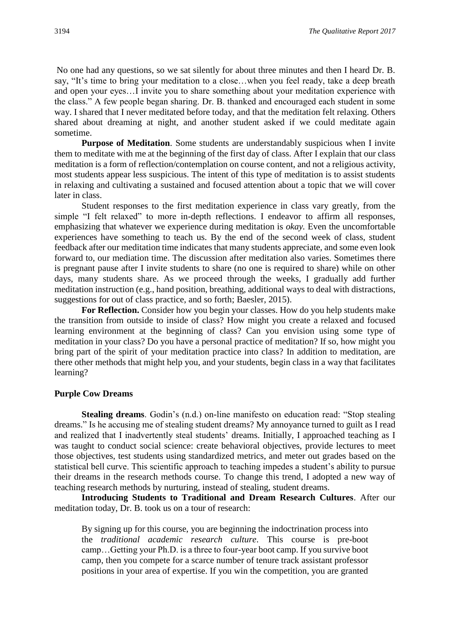No one had any questions, so we sat silently for about three minutes and then I heard Dr. B. say, "It's time to bring your meditation to a close…when you feel ready, take a deep breath and open your eyes…I invite you to share something about your meditation experience with the class." A few people began sharing. Dr. B. thanked and encouraged each student in some way. I shared that I never meditated before today, and that the meditation felt relaxing. Others shared about dreaming at night, and another student asked if we could meditate again sometime.

**Purpose of Meditation**. Some students are understandably suspicious when I invite them to meditate with me at the beginning of the first day of class. After I explain that our class meditation is a form of reflection/contemplation on course content, and not a religious activity, most students appear less suspicious. The intent of this type of meditation is to assist students in relaxing and cultivating a sustained and focused attention about a topic that we will cover later in class.

Student responses to the first meditation experience in class vary greatly, from the simple "I felt relaxed" to more in-depth reflections. I endeavor to affirm all responses, emphasizing that whatever we experience during meditation is *okay.* Even the uncomfortable experiences have something to teach us. By the end of the second week of class, student feedback after our meditation time indicates that many students appreciate, and some even look forward to, our mediation time. The discussion after meditation also varies. Sometimes there is pregnant pause after I invite students to share (no one is required to share) while on other days, many students share. As we proceed through the weeks, I gradually add further meditation instruction (e.g., hand position, breathing, additional ways to deal with distractions, suggestions for out of class practice, and so forth; Baesler, 2015).

For Reflection. Consider how you begin your classes. How do you help students make the transition from outside to inside of class? How might you create a relaxed and focused learning environment at the beginning of class? Can you envision using some type of meditation in your class? Do you have a personal practice of meditation? If so, how might you bring part of the spirit of your meditation practice into class? In addition to meditation, are there other methods that might help you, and your students, begin class in a way that facilitates learning?

#### **Purple Cow Dreams**

 **Stealing dreams**. Godin's (n.d.) on-line manifesto on education read: "Stop stealing dreams." Is he accusing me of stealing student dreams? My annoyance turned to guilt as I read and realized that I inadvertently steal students' dreams. Initially, I approached teaching as I was taught to conduct social science: create behavioral objectives, provide lectures to meet those objectives, test students using standardized metrics, and meter out grades based on the statistical bell curve. This scientific approach to teaching impedes a student's ability to pursue their dreams in the research methods course. To change this trend, I adopted a new way of teaching research methods by nurturing, instead of stealing, student dreams.

**Introducing Students to Traditional and Dream Research Cultures**. After our meditation today, Dr. B. took us on a tour of research:

By signing up for this course, you are beginning the indoctrination process into the *traditional academic research culture*. This course is pre-boot camp…Getting your Ph.D. is a three to four-year boot camp. If you survive boot camp, then you compete for a scarce number of tenure track assistant professor positions in your area of expertise. If you win the competition, you are granted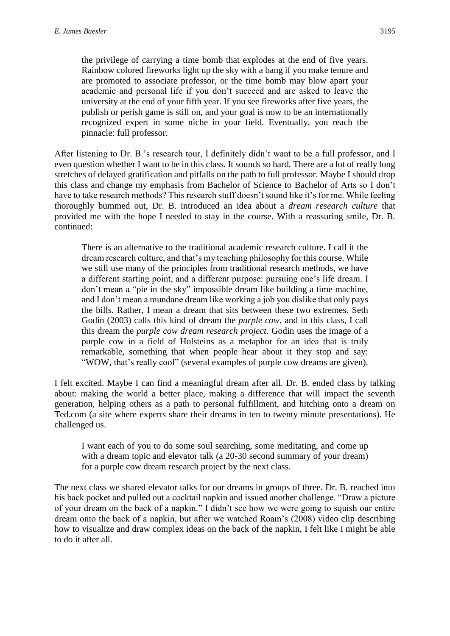the privilege of carrying a time bomb that explodes at the end of five years. Rainbow colored fireworks light up the sky with a bang if you make tenure and are promoted to associate professor, or the time bomb may blow apart your academic and personal life if you don't succeed and are asked to leave the university at the end of your fifth year. If you see fireworks after five years, the publish or perish game is still on, and your goal is now to be an internationally recognized expert in some niche in your field. Eventually, you reach the pinnacle: full professor.

After listening to Dr. B.'s research tour, I definitely didn't want to be a full professor, and I even question whether I want to be in this class. It sounds so hard. There are a lot of really long stretches of delayed gratification and pitfalls on the path to full professor. Maybe I should drop this class and change my emphasis from Bachelor of Science to Bachelor of Arts so I don't have to take research methods? This research stuff doesn't sound like it's for me. While feeling thoroughly bummed out, Dr. B. introduced an idea about a *dream research culture* that provided me with the hope I needed to stay in the course. With a reassuring smile, Dr. B. continued:

There is an alternative to the traditional academic research culture. I call it the dream research culture, and that's my teaching philosophy for this course. While we still use many of the principles from traditional research methods, we have a different starting point, and a different purpose: pursuing one's life dream. I don't mean a "pie in the sky" impossible dream like building a time machine, and I don't mean a mundane dream like working a job you dislike that only pays the bills. Rather, I mean a dream that sits between these two extremes. Seth Godin (2003) calls this kind of dream the *purple cow*, and in this class, I call this dream the *purple cow dream research project*. Godin uses the image of a purple cow in a field of Holsteins as a metaphor for an idea that is truly remarkable, something that when people hear about it they stop and say: "WOW, that's really cool" (several examples of purple cow dreams are given).

I felt excited. Maybe I can find a meaningful dream after all. Dr. B. ended class by talking about: making the world a better place, making a difference that will impact the seventh generation, helping others as a path to personal fulfillment, and hitching onto a dream on Ted.com (a site where experts share their dreams in ten to twenty minute presentations). He challenged us.

I want each of you to do some soul searching, some meditating, and come up with a dream topic and elevator talk (a 20-30 second summary of your dream) for a purple cow dream research project by the next class.

The next class we shared elevator talks for our dreams in groups of three. Dr. B. reached into his back pocket and pulled out a cocktail napkin and issued another challenge. "Draw a picture of your dream on the back of a napkin." I didn't see how we were going to squish our entire dream onto the back of a napkin, but after we watched Roam's (2008) video clip describing how to visualize and draw complex ideas on the back of the napkin, I felt like I might be able to do it after all.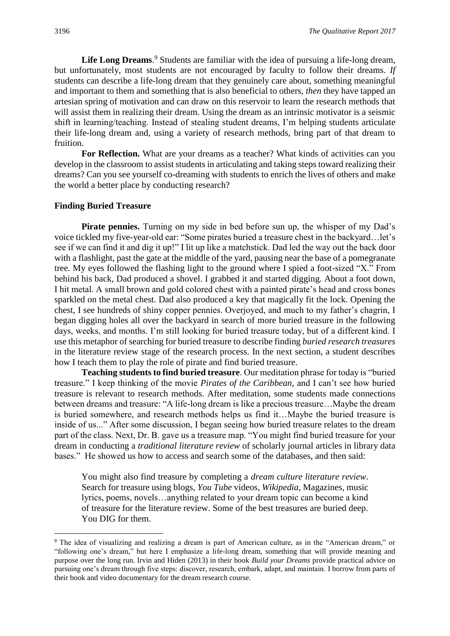Life Long Dreams.<sup>9</sup> Students are familiar with the idea of pursuing a life-long dream, but unfortunately, most students are not encouraged by faculty to follow their dreams. *If* students can describe a life-long dream that they genuinely care about, something meaningful and important to them and something that is also beneficial to others, *then* they have tapped an artesian spring of motivation and can draw on this reservoir to learn the research methods that will assist them in realizing their dream. Using the dream as an intrinsic motivator is a seismic shift in learning/teaching. Instead of stealing student dreams, I'm helping students articulate their life-long dream and, using a variety of research methods, bring part of that dream to fruition.

For Reflection. What are your dreams as a teacher? What kinds of activities can you develop in the classroom to assist students in articulating and taking steps toward realizing their dreams? Can you see yourself co-dreaming with students to enrich the lives of others and make the world a better place by conducting research?

#### **Finding Buried Treasure**

Pirate pennies. Turning on my side in bed before sun up, the whisper of my Dad's voice tickled my five-year-old ear: "Some pirates buried a treasure chest in the backyard…let's see if we can find it and dig it up!" I lit up like a matchstick. Dad led the way out the back door with a flashlight, past the gate at the middle of the yard, pausing near the base of a pomegranate tree. My eyes followed the flashing light to the ground where I spied a foot-sized "X." From behind his back, Dad produced a shovel. I grabbed it and started digging. About a foot down, I hit metal. A small brown and gold colored chest with a painted pirate's head and cross bones sparkled on the metal chest. Dad also produced a key that magically fit the lock. Opening the chest, I see hundreds of shiny copper pennies. Overjoyed, and much to my father's chagrin, I began digging holes all over the backyard in search of more buried treasure in the following days, weeks, and months. I'm still looking for buried treasure today, but of a different kind. I use this metaphor of searching for buried treasure to describe finding *buried research treasures* in the literature review stage of the research process. In the next section, a student describes how I teach them to play the role of pirate and find buried treasure.

**Teaching students to find buried treasure**. Our meditation phrase for today is "buried treasure." I keep thinking of the movie *Pirates of the Caribbean,* and I can't see how buried treasure is relevant to research methods. After meditation, some students made connections between dreams and treasure: "A life-long dream is like a precious treasure…Maybe the dream is buried somewhere, and research methods helps us find it…Maybe the buried treasure is inside of us..." After some discussion, I began seeing how buried treasure relates to the dream part of the class. Next, Dr. B. gave us a treasure map. "You might find buried treasure for your dream in conducting a *traditional literature review* of scholarly journal articles in library data bases." He showed us how to access and search some of the databases, and then said:

You might also find treasure by completing a *dream culture literature review*. Search for treasure using blogs, *You Tube* videos, *Wikipedia*, Magazines, music lyrics, poems, novels…anything related to your dream topic can become a kind of treasure for the literature review. Some of the best treasures are buried deep. You DIG for them.

 $\overline{a}$ 

<sup>9</sup> The idea of visualizing and realizing a dream is part of American culture, as in the "American dream," or "following one's dream," but here I emphasize a life-long dream, something that will provide meaning and purpose over the long run. Irvin and Hiden (2013) in their book *Build your Dreams* provide practical advice on pursuing one's dream through five steps: discover, research, embark, adapt, and maintain. I borrow from parts of their book and video documentary for the dream research course.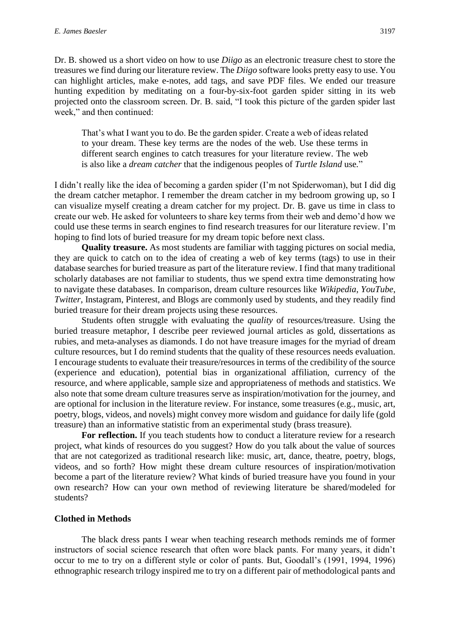Dr. B. showed us a short video on how to use *Diigo* as an electronic treasure chest to store the treasures we find during our literature review. The *Diigo* software looks pretty easy to use. You can highlight articles, make e-notes, add tags, and save PDF files. We ended our treasure hunting expedition by meditating on a four-by-six-foot garden spider sitting in its web projected onto the classroom screen. Dr. B. said, "I took this picture of the garden spider last week," and then continued:

That's what I want you to do. Be the garden spider. Create a web of ideas related to your dream. These key terms are the nodes of the web. Use these terms in different search engines to catch treasures for your literature review. The web is also like a *dream catcher* that the indigenous peoples of *Turtle Island* use*.*"

I didn't really like the idea of becoming a garden spider (I'm not Spiderwoman), but I did dig the dream catcher metaphor. I remember the dream catcher in my bedroom growing up, so I can visualize myself creating a dream catcher for my project. Dr. B. gave us time in class to create our web. He asked for volunteers to share key terms from their web and demo'd how we could use these terms in search engines to find research treasures for our literature review. I'm hoping to find lots of buried treasure for my dream topic before next class.

**Quality treasure.** As most students are familiar with tagging pictures on social media, they are quick to catch on to the idea of creating a web of key terms (tags) to use in their database searches for buried treasure as part of the literature review. I find that many traditional scholarly databases are not familiar to students, thus we spend extra time demonstrating how to navigate these databases. In comparison, dream culture resources like *Wikipedia*, *YouTube*, *Twitter*, Instagram, Pinterest, and Blogs are commonly used by students, and they readily find buried treasure for their dream projects using these resources.

Students often struggle with evaluating the *quality* of resources/treasure. Using the buried treasure metaphor, I describe peer reviewed journal articles as gold, dissertations as rubies, and meta-analyses as diamonds. I do not have treasure images for the myriad of dream culture resources, but I do remind students that the quality of these resources needs evaluation. I encourage students to evaluate their treasure/resources in terms of the credibility of the source (experience and education), potential bias in organizational affiliation, currency of the resource, and where applicable, sample size and appropriateness of methods and statistics. We also note that some dream culture treasures serve as inspiration/motivation for the journey, and are optional for inclusion in the literature review. For instance, some treasures (e.g., music, art, poetry, blogs, videos, and novels) might convey more wisdom and guidance for daily life (gold treasure) than an informative statistic from an experimental study (brass treasure).

**For reflection.** If you teach students how to conduct a literature review for a research project, what kinds of resources do you suggest? How do you talk about the value of sources that are not categorized as traditional research like: music, art, dance, theatre, poetry, blogs, videos, and so forth? How might these dream culture resources of inspiration/motivation become a part of the literature review? What kinds of buried treasure have you found in your own research? How can your own method of reviewing literature be shared/modeled for students?

#### **Clothed in Methods**

The black dress pants I wear when teaching research methods reminds me of former instructors of social science research that often wore black pants. For many years, it didn't occur to me to try on a different style or color of pants. But, Goodall's (1991, 1994, 1996) ethnographic research trilogy inspired me to try on a different pair of methodological pants and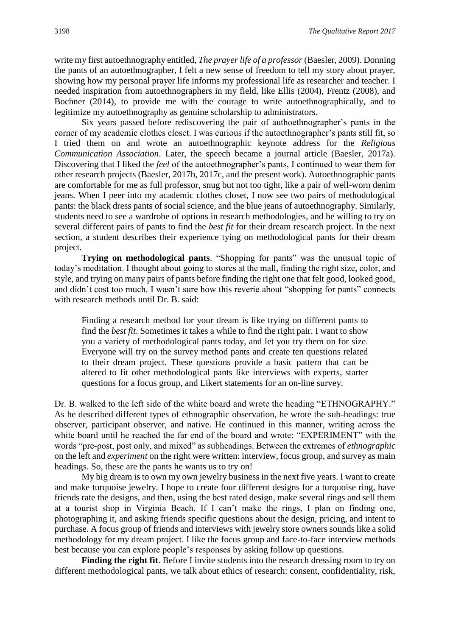write my first autoethnography entitled, *The prayer life of a professor* (Baesler, 2009). Donning the pants of an autoethnographer, I felt a new sense of freedom to tell my story about prayer, showing how my personal prayer life informs my professional life as researcher and teacher. I needed inspiration from autoethnographers in my field, like Ellis (2004), Frentz (2008), and Bochner (2014), to provide me with the courage to write autoethnographically, and to legitimize my autoethnography as genuine scholarship to administrators.

Six years passed before rediscovering the pair of authoethnographer's pants in the corner of my academic clothes closet. I was curious if the autoethnographer's pants still fit, so I tried them on and wrote an autoethnographic keynote address for the *Religious Communication Association*. Later, the speech became a journal article (Baesler, 2017a). Discovering that I liked the *feel* of the autoethnographer's pants, I continued to wear them for other research projects (Baesler, 2017b, 2017c, and the present work). Autoethnographic pants are comfortable for me as full professor, snug but not too tight, like a pair of well-worn denim jeans. When I peer into my academic clothes closet, I now see two pairs of methodological pants: the black dress pants of social science, and the blue jeans of autoethnography. Similarly, students need to see a wardrobe of options in research methodologies, and be willing to try on several different pairs of pants to find the *best fit* for their dream research project. In the next section, a student describes their experience tying on methodological pants for their dream project.

**Trying on methodological pants**. "Shopping for pants" was the unusual topic of today's meditation. I thought about going to stores at the mall, finding the right size, color, and style, and trying on many pairs of pants before finding the right one that felt good, looked good, and didn't cost too much. I wasn't sure how this reverie about "shopping for pants" connects with research methods until Dr. B. said:

Finding a research method for your dream is like trying on different pants to find the *best fit*. Sometimes it takes a while to find the right pair. I want to show you a variety of methodological pants today, and let you try them on for size. Everyone will try on the survey method pants and create ten questions related to their dream project. These questions provide a basic pattern that can be altered to fit other methodological pants like interviews with experts, starter questions for a focus group, and Likert statements for an on-line survey.

Dr. B. walked to the left side of the white board and wrote the heading "ETHNOGRAPHY." As he described different types of ethnographic observation, he wrote the sub-headings: true observer, participant observer, and native. He continued in this manner, writing across the white board until he reached the far end of the board and wrote: "EXPERIMENT" with the words "pre-post, post only, and mixed" as subheadings. Between the extremes of *ethnographic* on the left and *experiment* on the right were written: interview, focus group, and survey as main headings. So, these are the pants he wants us to try on!

My big dream is to own my own jewelry business in the next five years. I want to create and make turquoise jewelry. I hope to create four different designs for a turquoise ring, have friends rate the designs, and then, using the best rated design, make several rings and sell them at a tourist shop in Virginia Beach. If I can't make the rings, I plan on finding one, photographing it, and asking friends specific questions about the design, pricing, and intent to purchase. A focus group of friends and interviews with jewelry store owners sounds like a solid methodology for my dream project. I like the focus group and face-to-face interview methods best because you can explore people's responses by asking follow up questions.

**Finding the right fit**. Before I invite students into the research dressing room to try on different methodological pants, we talk about ethics of research: consent, confidentiality, risk,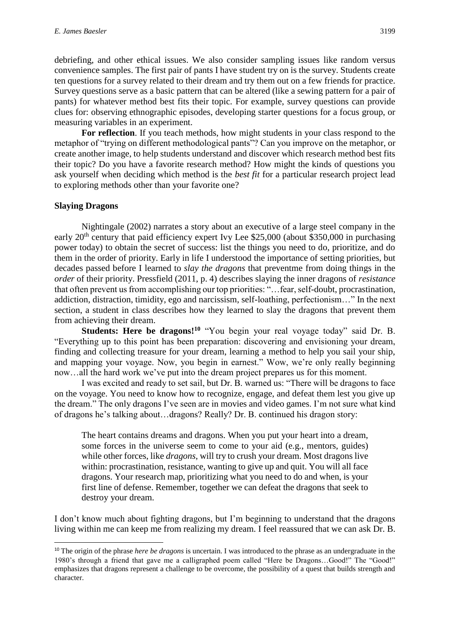debriefing, and other ethical issues. We also consider sampling issues like random versus convenience samples. The first pair of pants I have student try on is the survey. Students create ten questions for a survey related to their dream and try them out on a few friends for practice. Survey questions serve as a basic pattern that can be altered (like a sewing pattern for a pair of pants) for whatever method best fits their topic. For example, survey questions can provide clues for: observing ethnographic episodes, developing starter questions for a focus group, or measuring variables in an experiment.

**For reflection**. If you teach methods, how might students in your class respond to the metaphor of "trying on different methodological pants"? Can you improve on the metaphor, or create another image, to help students understand and discover which research method best fits their topic? Do you have a favorite research method? How might the kinds of questions you ask yourself when deciding which method is the *best fit* for a particular research project lead to exploring methods other than your favorite one?

#### **Slaying Dragons**

1

Nightingale (2002) narrates a story about an executive of a large steel company in the early  $20<sup>th</sup>$  century that paid efficiency expert Ivy Lee \$25,000 (about \$350,000 in purchasing power today) to obtain the secret of success: list the things you need to do, prioritize, and do them in the order of priority. Early in life I understood the importance of setting priorities, but decades passed before I learned to *slay the dragons* that preventme from doing things in the *order* of their priority. Pressfield (2011, p. 4) describes slaying the inner dragons of *resistance* that often prevent us from accomplishing our top priorities: "…fear, self-doubt, procrastination, addiction, distraction, timidity, ego and narcissism, self-loathing, perfectionism…" In the next section, a student in class describes how they learned to slay the dragons that prevent them from achieving their dream.

**Students: Here be dragons!<sup>10</sup>** "You begin your real voyage today" said Dr. B. "Everything up to this point has been preparation: discovering and envisioning your dream, finding and collecting treasure for your dream, learning a method to help you sail your ship, and mapping your voyage. Now, you begin in earnest." Wow, we're only really beginning now…all the hard work we've put into the dream project prepares us for this moment.

I was excited and ready to set sail, but Dr. B. warned us: "There will be dragons to face on the voyage. You need to know how to recognize, engage, and defeat them lest you give up the dream." The only dragons I've seen are in movies and video games. I'm not sure what kind of dragons he's talking about…dragons? Really? Dr. B. continued his dragon story:

The heart contains dreams and dragons. When you put your heart into a dream, some forces in the universe seem to come to your aid (e.g., mentors, guides) while other forces, like *dragons*, will try to crush your dream. Most dragons live within: procrastination, resistance, wanting to give up and quit. You will all face dragons. Your research map, prioritizing what you need to do and when, is your first line of defense. Remember, together we can defeat the dragons that seek to destroy your dream.

I don't know much about fighting dragons, but I'm beginning to understand that the dragons living within me can keep me from realizing my dream. I feel reassured that we can ask Dr. B.

<sup>&</sup>lt;sup>10</sup> The origin of the phrase *here be dragons* is uncertain. I was introduced to the phrase as an undergraduate in the 1980's through a friend that gave me a calligraphed poem called "Here be Dragons…Good!" The "Good!" emphasizes that dragons represent a challenge to be overcome, the possibility of a quest that builds strength and character.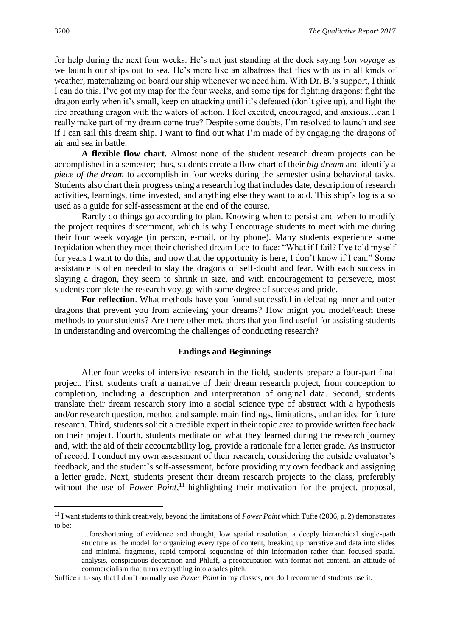for help during the next four weeks. He's not just standing at the dock saying *bon voyage* as we launch our ships out to sea*.* He's more like an albatross that flies with us in all kinds of weather, materializing on board our ship whenever we need him. With Dr. B.'s support, I think I can do this. I've got my map for the four weeks, and some tips for fighting dragons: fight the dragon early when it's small, keep on attacking until it's defeated (don't give up), and fight the fire breathing dragon with the waters of action. I feel excited, encouraged, and anxious…can I really make part of my dream come true? Despite some doubts, I'm resolved to launch and see if I can sail this dream ship. I want to find out what I'm made of by engaging the dragons of air and sea in battle.

**A flexible flow chart.** Almost none of the student research dream projects can be accomplished in a semester; thus, students create a flow chart of their *big dream* and identify a *piece of the dream* to accomplish in four weeks during the semester using behavioral tasks. Students also chart their progress using a research log that includes date, description of research activities, learnings, time invested, and anything else they want to add. This ship's log is also used as a guide for self-assessment at the end of the course.

Rarely do things go according to plan. Knowing when to persist and when to modify the project requires discernment, which is why I encourage students to meet with me during their four week voyage (in person, e-mail, or by phone). Many students experience some trepidation when they meet their cherished dream face-to-face: "What if I fail? I've told myself for years I want to do this, and now that the opportunity is here, I don't know if I can." Some assistance is often needed to slay the dragons of self-doubt and fear. With each success in slaying a dragon, they seem to shrink in size, and with encouragement to persevere, most students complete the research voyage with some degree of success and pride.

**For reflection**. What methods have you found successful in defeating inner and outer dragons that prevent you from achieving your dreams? How might you model/teach these methods to your students? Are there other metaphors that you find useful for assisting students in understanding and overcoming the challenges of conducting research?

#### **Endings and Beginnings**

After four weeks of intensive research in the field, students prepare a four-part final project. First, students craft a narrative of their dream research project, from conception to completion, including a description and interpretation of original data. Second, students translate their dream research story into a social science type of abstract with a hypothesis and/or research question, method and sample, main findings, limitations, and an idea for future research. Third, students solicit a credible expert in their topic area to provide written feedback on their project. Fourth, students meditate on what they learned during the research journey and, with the aid of their accountability log, provide a rationale for a letter grade. As instructor of record, I conduct my own assessment of their research, considering the outside evaluator's feedback, and the student's self-assessment, before providing my own feedback and assigning a letter grade. Next, students present their dream research projects to the class, preferably without the use of *Power Point*,<sup>11</sup> highlighting their motivation for the project, proposal,

**.** 

<sup>11</sup> I want students to think creatively, beyond the limitations of *Power Point* which Tufte (2006, p. 2) demonstrates to be:

<sup>…</sup>foreshortening of evidence and thought, low spatial resolution, a deeply hierarchical single-path structure as the model for organizing every type of content, breaking up narrative and data into slides and minimal fragments, rapid temporal sequencing of thin information rather than focused spatial analysis, conspicuous decoration and Phluff, a preoccupation with format not content, an attitude of commercialism that turns everything into a sales pitch.

Suffice it to say that I don't normally use *Power Point* in my classes, nor do I recommend students use it.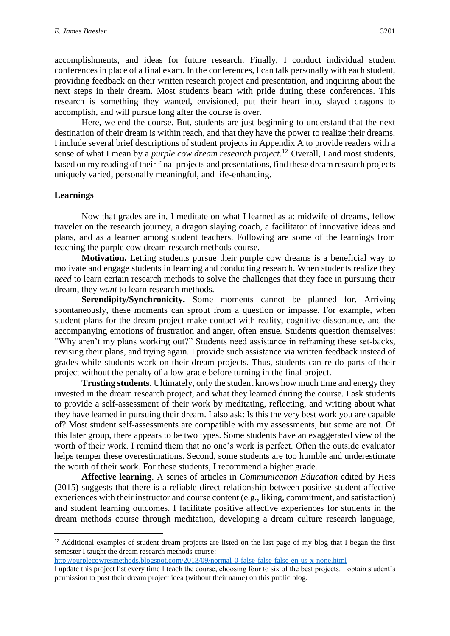accomplishments, and ideas for future research. Finally, I conduct individual student conferences in place of a final exam. In the conferences, I can talk personally with each student, providing feedback on their written research project and presentation, and inquiring about the next steps in their dream. Most students beam with pride during these conferences. This research is something they wanted, envisioned, put their heart into, slayed dragons to accomplish, and will pursue long after the course is over.

Here, we end the course. But, students are just beginning to understand that the next destination of their dream is within reach, and that they have the power to realize their dreams. I include several brief descriptions of student projects in Appendix A to provide readers with a sense of what I mean by a *purple cow dream research project*.<sup>12</sup> Overall, I and most students, based on my reading of their final projects and presentations, find these dream research projects uniquely varied, personally meaningful, and life-enhancing.

#### **Learnings**

 $\overline{a}$ 

Now that grades are in, I meditate on what I learned as a: midwife of dreams, fellow traveler on the research journey, a dragon slaying coach, a facilitator of innovative ideas and plans, and as a learner among student teachers. Following are some of the learnings from teaching the purple cow dream research methods course.

**Motivation.** Letting students pursue their purple cow dreams is a beneficial way to motivate and engage students in learning and conducting research. When students realize they *need* to learn certain research methods to solve the challenges that they face in pursuing their dream, they *want* to learn research methods.

**Serendipity/Synchronicity.** Some moments cannot be planned for. Arriving spontaneously, these moments can sprout from a question or impasse. For example, when student plans for the dream project make contact with reality, cognitive dissonance, and the accompanying emotions of frustration and anger, often ensue. Students question themselves: "Why aren't my plans working out?" Students need assistance in reframing these set-backs, revising their plans, and trying again. I provide such assistance via written feedback instead of grades while students work on their dream projects. Thus, students can re-do parts of their project without the penalty of a low grade before turning in the final project.

**Trusting students**. Ultimately, only the student knows how much time and energy they invested in the dream research project, and what they learned during the course. I ask students to provide a self-assessment of their work by meditating, reflecting, and writing about what they have learned in pursuing their dream. I also ask: Is this the very best work you are capable of? Most student self-assessments are compatible with my assessments, but some are not. Of this later group, there appears to be two types. Some students have an exaggerated view of the worth of their work. I remind them that no one's work is perfect. Often the outside evaluator helps temper these overestimations. Second, some students are too humble and underestimate the worth of their work. For these students, I recommend a higher grade.

**Affective learning**. A series of articles in *Communication Education* edited by Hess (2015) suggests that there is a reliable direct relationship between positive student affective experiences with their instructor and course content (e.g., liking, commitment, and satisfaction) and student learning outcomes. I facilitate positive affective experiences for students in the dream methods course through meditation, developing a dream culture research language,

<http://purplecowresmethods.blogspot.com/2013/09/normal-0-false-false-false-en-us-x-none.html>

<sup>&</sup>lt;sup>12</sup> Additional examples of student dream projects are listed on the last page of my blog that I began the first semester I taught the dream research methods course:

I update this project list every time I teach the course, choosing four to six of the best projects. I obtain student's permission to post their dream project idea (without their name) on this public blog.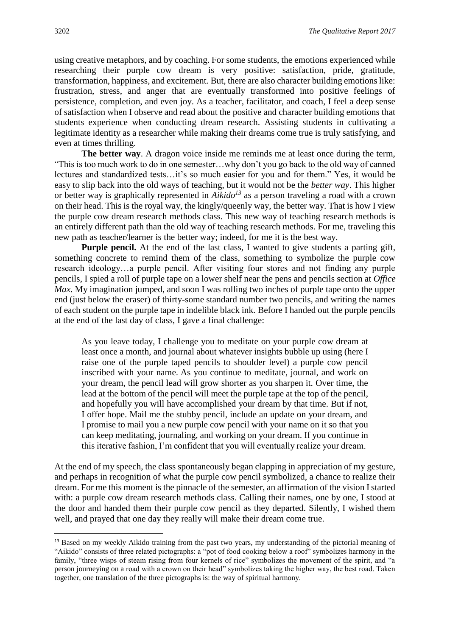using creative metaphors, and by coaching. For some students, the emotions experienced while researching their purple cow dream is very positive: satisfaction, pride, gratitude, transformation, happiness, and excitement. But, there are also character building emotions like: frustration, stress, and anger that are eventually transformed into positive feelings of persistence, completion, and even joy. As a teacher, facilitator, and coach, I feel a deep sense of satisfaction when I observe and read about the positive and character building emotions that students experience when conducting dream research. Assisting students in cultivating a legitimate identity as a researcher while making their dreams come true is truly satisfying, and even at times thrilling.

**The better way**. A dragon voice inside me reminds me at least once during the term, "This is too much work to do in one semester…why don't you go back to the old way of canned lectures and standardized tests…it's so much easier for you and for them." Yes, it would be easy to slip back into the old ways of teaching, but it would not be the *better way*. This higher or better way is graphically represented in *Aikido<sup>13</sup>* as a person traveling a road with a crown on their head. This is the royal way, the kingly/queenly way, the better way. That is how I view the purple cow dream research methods class. This new way of teaching research methods is an entirely different path than the old way of teaching research methods. For me, traveling this new path as teacher/learner is the better way; indeed, for me it is the best way.

**Purple pencil.** At the end of the last class, I wanted to give students a parting gift, something concrete to remind them of the class, something to symbolize the purple cow research ideology…a purple pencil. After visiting four stores and not finding any purple pencils, I spied a roll of purple tape on a lower shelf near the pens and pencils section at *Office Max*. My imagination jumped, and soon I was rolling two inches of purple tape onto the upper end (just below the eraser) of thirty-some standard number two pencils, and writing the names of each student on the purple tape in indelible black ink. Before I handed out the purple pencils at the end of the last day of class, I gave a final challenge:

As you leave today, I challenge you to meditate on your purple cow dream at least once a month, and journal about whatever insights bubble up using (here I raise one of the purple taped pencils to shoulder level) a purple cow pencil inscribed with your name. As you continue to meditate, journal, and work on your dream, the pencil lead will grow shorter as you sharpen it. Over time, the lead at the bottom of the pencil will meet the purple tape at the top of the pencil, and hopefully you will have accomplished your dream by that time. But if not, I offer hope. Mail me the stubby pencil, include an update on your dream, and I promise to mail you a new purple cow pencil with your name on it so that you can keep meditating, journaling, and working on your dream. If you continue in this iterative fashion, I'm confident that you will eventually realize your dream.

At the end of my speech, the class spontaneously began clapping in appreciation of my gesture, and perhaps in recognition of what the purple cow pencil symbolized, a chance to realize their dream. For me this moment is the pinnacle of the semester, an affirmation of the vision I started with: a purple cow dream research methods class. Calling their names, one by one, I stood at the door and handed them their purple cow pencil as they departed. Silently, I wished them well, and prayed that one day they really will make their dream come true.

 $\overline{a}$ 

<sup>&</sup>lt;sup>13</sup> Based on my weekly Aikido training from the past two years, my understanding of the pictorial meaning of "Aikido" consists of three related pictographs: a "pot of food cooking below a roof" symbolizes harmony in the family, "three wisps of steam rising from four kernels of rice" symbolizes the movement of the spirit, and "a person journeying on a road with a crown on their head" symbolizes taking the higher way, the best road. Taken together, one translation of the three pictographs is: the way of spiritual harmony.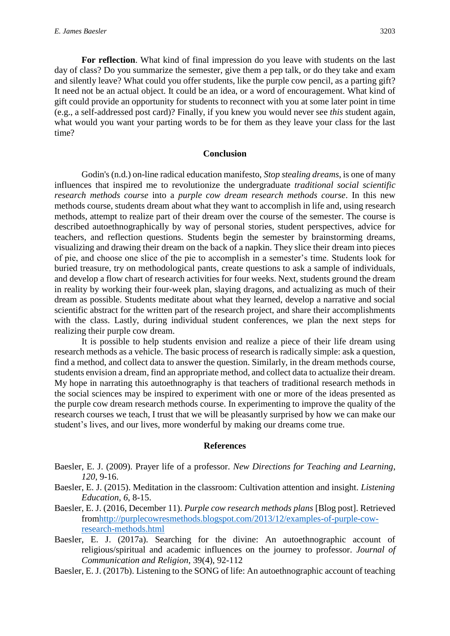**For reflection**. What kind of final impression do you leave with students on the last day of class? Do you summarize the semester, give them a pep talk, or do they take and exam and silently leave? What could you offer students, like the purple cow pencil, as a parting gift? It need not be an actual object. It could be an idea, or a word of encouragement. What kind of gift could provide an opportunity for students to reconnect with you at some later point in time (e.g., a self-addressed post card)? Finally, if you knew you would never see *this* student again, what would you want your parting words to be for them as they leave your class for the last time?

#### **Conclusion**

Godin's (n.d.) on-line radical education manifesto, *Stop stealing dreams*, is one of many influences that inspired me to revolutionize the undergraduate *traditional social scientific research methods course* into a *purple cow dream research methods course*. In this new methods course, students dream about what they want to accomplish in life and, using research methods, attempt to realize part of their dream over the course of the semester. The course is described autoethnographically by way of personal stories, student perspectives, advice for teachers, and reflection questions. Students begin the semester by brainstorming dreams, visualizing and drawing their dream on the back of a napkin. They slice their dream into pieces of pie, and choose one slice of the pie to accomplish in a semester's time. Students look for buried treasure, try on methodological pants, create questions to ask a sample of individuals, and develop a flow chart of research activities for four weeks. Next, students ground the dream in reality by working their four-week plan, slaying dragons, and actualizing as much of their dream as possible. Students meditate about what they learned, develop a narrative and social scientific abstract for the written part of the research project, and share their accomplishments with the class. Lastly, during individual student conferences, we plan the next steps for realizing their purple cow dream.

 It is possible to help students envision and realize a piece of their life dream using research methods as a vehicle. The basic process of research is radically simple: ask a question, find a method, and collect data to answer the question. Similarly, in the dream methods course, students envision a dream, find an appropriate method, and collect data to actualize their dream. My hope in narrating this autoethnography is that teachers of traditional research methods in the social sciences may be inspired to experiment with one or more of the ideas presented as the purple cow dream research methods course. In experimenting to improve the quality of the research courses we teach, I trust that we will be pleasantly surprised by how we can make our student's lives, and our lives, more wonderful by making our dreams come true.

#### **References**

- Baesler, E. J. (2009). Prayer life of a professor. *New Directions for Teaching and Learning*, *120*, 9-16.
- Baesler, E. J. (2015). Meditation in the classroom: Cultivation attention and insight. *Listening Education*, *6*, 8-15.
- Baesler, E. J. (2016, December 11). *Purple cow research methods plans* [Blog post]. Retrieved fro[mhttp://purplecowresmethods.blogspot.com/2013/12/examples-of-purple-cow](http://purplecowresmethods.blogspot.com/2013/12/examples-of-purple-cow-research-methods.html)[research-methods.html](http://purplecowresmethods.blogspot.com/2013/12/examples-of-purple-cow-research-methods.html)
- Baesler, E. J. (2017a). Searching for the divine: An autoethnographic account of religious/spiritual and academic influences on the journey to professor. *Journal of Communication and Religion*, 39(4), 92-112
- Baesler, E. J. (2017b). Listening to the SONG of life: An autoethnographic account of teaching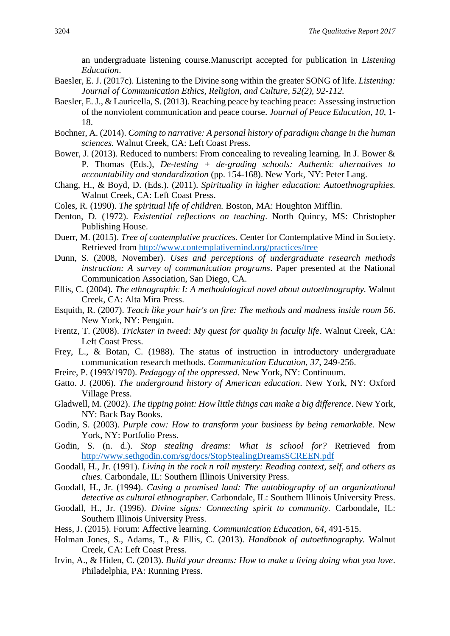an undergraduate listening course.Manuscript accepted for publication in *Listening Education*.

- Baesler, E. J. (2017c). Listening to the Divine song within the greater SONG of life. *Listening: Journal of Communication Ethics, Religion, and Culture, 52(2), 92-112.*
- Baesler, E. J., & Lauricella, S. (2013). Reaching peace by teaching peace: Assessing instruction of the nonviolent communication and peace course. *Journal of Peace Education*, *10*, 1- 18.
- Bochner, A. (2014). *Coming to narrative: A personal history of paradigm change in the human sciences.* Walnut Creek, CA: Left Coast Press.
- Bower, J. (2013). Reduced to numbers: From concealing to revealing learning. In J. Bower & P. Thomas (Eds.), *De-testing + de-grading schools: Authentic alternatives to accountability and standardization* (pp. 154-168). New York, NY: Peter Lang.
- Chang, H., & Boyd, D. (Eds.). (2011). *Spirituality in higher education: Autoethnographies.*  Walnut Creek, CA: Left Coast Press.
- Coles, R. (1990). *The spiritual life of children.* Boston, MA: Houghton Mifflin.
- Denton, D. (1972). *Existential reflections on teaching*. North Quincy, MS: Christopher Publishing House.
- Duerr, M. (2015). *Tree of contemplative practices*. Center for Contemplative Mind in Society. Retrieved from<http://www.contemplativemind.org/practices/tree>
- Dunn, S. (2008, November). *Uses and perceptions of undergraduate research methods instruction: A survey of communication programs*. Paper presented at the National Communication Association, San Diego, CA.
- Ellis, C. (2004). *The ethnographic I: A methodological novel about autoethnography.* Walnut Creek, CA: Alta Mira Press.
- Esquith, R. (2007). *Teach like your hair's on fire: The methods and madness inside room 56*. New York, NY: Penguin.
- Frentz, T. (2008). *Trickster in tweed: My quest for quality in faculty life*. Walnut Creek, CA: Left Coast Press.
- Frey, L., & Botan, C. (1988). The status of instruction in introductory undergraduate communication research methods. *Communication Education*, *37*, 249-256.
- Freire, P. (1993/1970). *Pedagogy of the oppressed*. New York, NY: Continuum.
- Gatto. J. (2006). *The underground history of American education*. New York, NY: Oxford Village Press.
- Gladwell, M. (2002). *The tipping point: How little things can make a big difference*. New York, NY: Back Bay Books.
- Godin, S. (2003). *Purple cow: How to transform your business by being remarkable.* New York, NY: Portfolio Press.
- Godin, S. (n. d.). *Stop stealing dreams: What is school for?* Retrieved from <http://www.sethgodin.com/sg/docs/StopStealingDreamsSCREEN.pdf>
- Goodall, H., Jr. (1991). *Living in the rock n roll mystery: Reading context, self, and others as clues.* Carbondale, IL: Southern Illinois University Press.
- Goodall, H., Jr. (1994). *Casing a promised land: The autobiography of an organizational detective as cultural ethnographer*. Carbondale, IL: Southern Illinois University Press.
- Goodall, H., Jr. (1996). *Divine signs: Connecting spirit to community.* Carbondale, IL: Southern Illinois University Press.
- Hess, J. (2015). Forum: Affective learning. *Communication Education, 64*, 491-515.
- Holman Jones, S., Adams, T., & Ellis, C. (2013). *Handbook of autoethnography.* Walnut Creek, CA: Left Coast Press.
- Irvin, A., & Hiden, C. (2013). *Build your dreams: How to make a living doing what you love*. Philadelphia, PA: Running Press.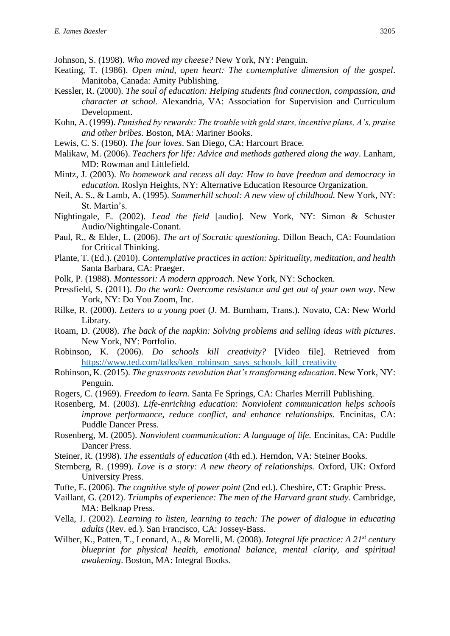Johnson, S. (1998). *Who moved my cheese?* New York, NY: Penguin.

- Keating, T. (1986). *Open mind, open heart: The contemplative dimension of the gospel*. Manitoba, Canada: Amity Publishing.
- Kessler, R. (2000). *The soul of education: Helping students find connection, compassion, and character at school*. Alexandria, VA: Association for Supervision and Curriculum Development.
- Kohn, A. (1999). *Punished by rewards: The trouble with gold stars, incentive plans, A's, praise and other bribes.* Boston, MA: Mariner Books.
- Lewis, C. S. (1960). *The four loves*. San Diego, CA: Harcourt Brace.
- Malikaw, M. (2006). *Teachers for life: Advice and methods gathered along the way*. Lanham, MD: Rowman and Littlefield.
- Mintz, J. (2003). *No homework and recess all day: How to have freedom and democracy in education.* Roslyn Heights, NY: Alternative Education Resource Organization.
- Neil, A. S., & Lamb, A. (1995). *Summerhill school: A new view of childhood.* New York, NY: St. Martin's.
- Nightingale, E. (2002). *Lead the field* [audio]. New York, NY: Simon & Schuster Audio/Nightingale-Conant.
- Paul, R., & Elder, L. (2006). *The art of Socratic questioning*. Dillon Beach, CA: Foundation for Critical Thinking.
- Plante, T. (Ed.). (2010). *Contemplative practices in action: Spirituality, meditation, and health*  Santa Barbara, CA: Praeger.
- Polk, P. (1988). *Montessori: A modern approach.* New York, NY: Schocken.
- Pressfield, S. (2011). *Do the work: Overcome resistance and get out of your own way*. New York, NY: Do You Zoom, Inc.
- Rilke, R. (2000). *Letters to a young poet* (J. M. Burnham, Trans.). Novato, CA: New World Library.
- Roam, D. (2008). *The back of the napkin: Solving problems and selling ideas with pictures*. New York, NY: Portfolio.
- Robinson, K. (2006). *Do schools kill creativity?* [Video file]. Retrieved from [https://www.ted.com/talks/ken\\_robinson\\_says\\_schools\\_kill\\_creativity](https://www.ted.com/talks/ken_robinson_says_schools_kill_creativity)
- Robinson, K. (2015). *The grassroots revolution that's transforming education*. New York, NY: Penguin.
- Rogers, C. (1969). *Freedom to learn.* Santa Fe Springs, CA: Charles Merrill Publishing.
- Rosenberg, M. (2003). *Life-enriching education: Nonviolent communication helps schools improve performance, reduce conflict, and enhance relationships.* Encinitas, CA: Puddle Dancer Press.
- Rosenberg, M. (2005). *Nonviolent communication: A language of life.* Encinitas, CA: Puddle Dancer Press.
- Steiner, R. (1998). *The essentials of education* (4th ed.). Herndon, VA: Steiner Books.
- Sternberg, R. (1999). *Love is a story: A new theory of relationships.* Oxford, UK: Oxford University Press.
- Tufte, E. (2006). *The cognitive style of power point* (2nd ed.). Cheshire, CT: Graphic Press.
- Vaillant, G. (2012). *Triumphs of experience: The men of the Harvard grant study*. Cambridge, MA: Belknap Press.
- Vella, J. (2002). *Learning to listen, learning to teach: The power of dialogue in educating adults* (Rev. ed.). San Francisco, CA: Jossey-Bass.
- Wilber, K., Patten, T., Leonard, A., & Morelli, M. (2008). *Integral life practice: A 21st century blueprint for physical health, emotional balance, mental clarity, and spiritual awakening*. Boston, MA: Integral Books.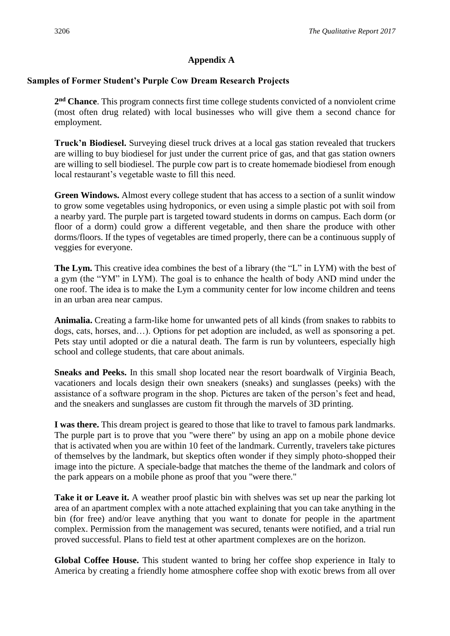### **Appendix A**

## **Samples of Former Student's Purple Cow Dream Research Projects**

2<sup>nd</sup> Chance. This program connects first time college students convicted of a nonviolent crime (most often drug related) with local businesses who will give them a second chance for employment.

**Truck'n Biodiesel.** Surveying diesel truck drives at a local gas station revealed that truckers are willing to buy biodiesel for just under the current price of gas, and that gas station owners are willing to sell biodiesel. The purple cow part is to create homemade biodiesel from enough local restaurant's vegetable waste to fill this need.

**Green Windows.** Almost every college student that has access to a section of a sunlit window to grow some vegetables using hydroponics, or even using a simple plastic pot with soil from a nearby yard. The purple part is targeted toward students in dorms on campus. Each dorm (or floor of a dorm) could grow a different vegetable, and then share the produce with other dorms/floors. If the types of vegetables are timed properly, there can be a continuous supply of veggies for everyone.

**The Lym.** This creative idea combines the best of a library (the "L" in LYM) with the best of a gym (the "YM" in LYM). The goal is to enhance the health of body AND mind under the one roof. The idea is to make the Lym a community center for low income children and teens in an urban area near campus.

**Animalia.** Creating a farm-like home for unwanted pets of all kinds (from snakes to rabbits to dogs, cats, horses, and…). Options for pet adoption are included, as well as sponsoring a pet. Pets stay until adopted or die a natural death. The farm is run by volunteers, especially high school and college students, that care about animals.

**Sneaks and Peeks.** In this small shop located near the resort boardwalk of Virginia Beach, vacationers and locals design their own sneakers (sneaks) and sunglasses (peeks) with the assistance of a software program in the shop. Pictures are taken of the person's feet and head, and the sneakers and sunglasses are custom fit through the marvels of 3D printing.

**I was there.** This dream project is geared to those that like to travel to famous park landmarks. The purple part is to prove that you "were there" by using an app on a mobile phone device that is activated when you are within 10 feet of the landmark. Currently, travelers take pictures of themselves by the landmark, but skeptics often wonder if they simply photo-shopped their image into the picture. A speciale-badge that matches the theme of the landmark and colors of the park appears on a mobile phone as proof that you "were there."

**Take it or Leave it.** A weather proof plastic bin with shelves was set up near the parking lot area of an apartment complex with a note attached explaining that you can take anything in the bin (for free) and/or leave anything that you want to donate for people in the apartment complex. Permission from the management was secured, tenants were notified, and a trial run proved successful. Plans to field test at other apartment complexes are on the horizon.

**Global Coffee House.** This student wanted to bring her coffee shop experience in Italy to America by creating a friendly home atmosphere coffee shop with exotic brews from all over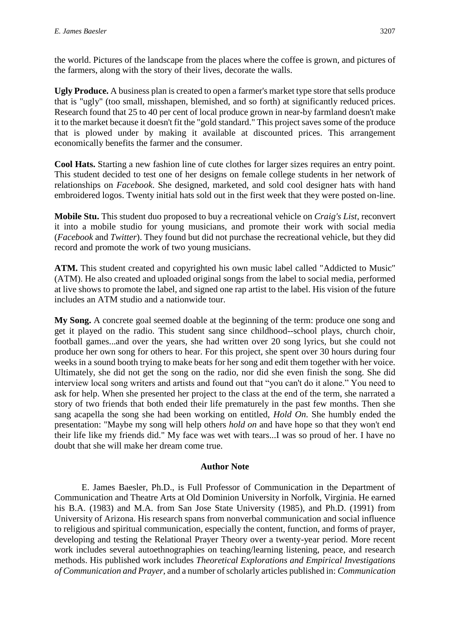the world. Pictures of the landscape from the places where the coffee is grown, and pictures of the farmers, along with the story of their lives, decorate the walls.

**Ugly Produce.** A business plan is created to open a farmer's market type store that sells produce that is "ugly" (too small, misshapen, blemished, and so forth) at significantly reduced prices. Research found that 25 to 40 per cent of local produce grown in near-by farmland doesn't make it to the market because it doesn't fit the "gold standard." This project saves some of the produce that is plowed under by making it available at discounted prices. This arrangement economically benefits the farmer and the consumer.

**Cool Hats.** Starting a new fashion line of cute clothes for larger sizes requires an entry point. This student decided to test one of her designs on female college students in her network of relationships on *Facebook*. She designed, marketed, and sold cool designer hats with hand embroidered logos. Twenty initial hats sold out in the first week that they were posted on-line.

**Mobile Stu.** This student duo proposed to buy a recreational vehicle on *Craig's List*, reconvert it into a mobile studio for young musicians, and promote their work with social media (*Facebook* and *Twitter*). They found but did not purchase the recreational vehicle, but they did record and promote the work of two young musicians.

**ATM.** This student created and copyrighted his own music label called "Addicted to Music" (ATM). He also created and uploaded original songs from the label to social media, performed at live shows to promote the label, and signed one rap artist to the label. His vision of the future includes an ATM studio and a nationwide tour.

**My Song.** A concrete goal seemed doable at the beginning of the term: produce one song and get it played on the radio. This student sang since childhood--school plays, church choir, football games...and over the years, she had written over 20 song lyrics, but she could not produce her own song for others to hear. For this project, she spent over 30 hours during four weeks in a sound booth trying to make beats for her song and edit them together with her voice. Ultimately, she did not get the song on the radio, nor did she even finish the song. She did interview local song writers and artists and found out that "you can't do it alone." You need to ask for help. When she presented her project to the class at the end of the term, she narrated a story of two friends that both ended their life prematurely in the past few months. Then she sang acapella the song she had been working on entitled, *Hold On*. She humbly ended the presentation: "Maybe my song will help others *hold on* and have hope so that they won't end their life like my friends did." My face was wet with tears...I was so proud of her. I have no doubt that she will make her dream come true.

#### **Author Note**

E. James Baesler, Ph.D., is Full Professor of Communication in the Department of Communication and Theatre Arts at Old Dominion University in Norfolk, Virginia. He earned his B.A. (1983) and M.A. from San Jose State University (1985), and Ph.D. (1991) from University of Arizona. His research spans from nonverbal communication and social influence to religious and spiritual communication, especially the content, function, and forms of prayer, developing and testing the Relational Prayer Theory over a twenty-year period. More recent work includes several autoethnographies on teaching/learning listening, peace, and research methods. His published work includes *Theoretical Explorations and Empirical Investigations of Communication and Prayer*, and a number of scholarly articles published in: *Communication*